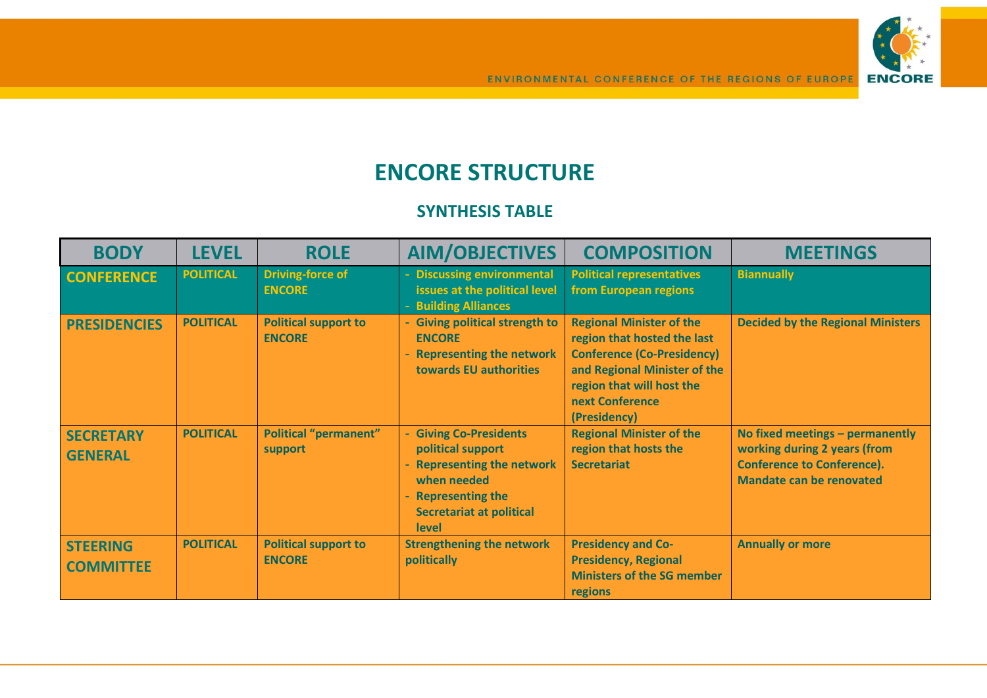

## **ENCORE STRUCTURE**

## **SYNTHESIS TABLE**

| <b>BODY</b>                         | <b>LEVEL</b>     | <b>ROLE</b>                                  | <b>AIM/OBJECTIVES</b>                                                                                                                                      | <b>COMPOSITION</b>                                                                                                                                                                                  | <b>MEETINGS</b>                                                                                                                         |
|-------------------------------------|------------------|----------------------------------------------|------------------------------------------------------------------------------------------------------------------------------------------------------------|-----------------------------------------------------------------------------------------------------------------------------------------------------------------------------------------------------|-----------------------------------------------------------------------------------------------------------------------------------------|
| <b>CONFERENCE</b>                   | <b>POLITICAL</b> | <b>Driving-force of</b><br><b>ENCORE</b>     | - Discussing environmental<br>issues at the political level<br>- Building Alliances                                                                        | <b>Political representatives</b><br>from European regions                                                                                                                                           | <b>Biannually</b>                                                                                                                       |
| <b>PRESIDENCIES</b>                 | <b>POLITICAL</b> | <b>Political support to</b><br><b>ENCORE</b> | - Giving political strength to<br><b>ENCORE</b><br>- Representing the network<br>towards EU authorities                                                    | <b>Regional Minister of the</b><br>region that hosted the last<br><b>Conference (Co-Presidency)</b><br>and Regional Minister of the<br>region that will host the<br>next Conference<br>(Presidency) | <b>Decided by the Regional Ministers</b>                                                                                                |
| <b>SECRETARY</b><br><b>GENERAL</b>  | <b>POLITICAL</b> | <b>Political "permanent"</b><br>support      | - Giving Co-Presidents<br>political support<br>- Representing the network<br>when needed<br>- Representing the<br><b>Secretariat at political</b><br>level | <b>Regional Minister of the</b><br>region that hosts the<br><b>Secretariat</b>                                                                                                                      | No fixed meetings - permanently<br>working during 2 years (from<br><b>Conference to Conference).</b><br><b>Mandate can be renovated</b> |
| <b>STEERING</b><br><b>COMMITTEE</b> | <b>POLITICAL</b> | <b>Political support to</b><br><b>ENCORE</b> | <b>Strengthening the network</b><br>politically                                                                                                            | <b>Presidency and Co-</b><br><b>Presidency, Regional</b><br><b>Ministers of the SG member</b><br>regions                                                                                            | <b>Annually or more</b>                                                                                                                 |